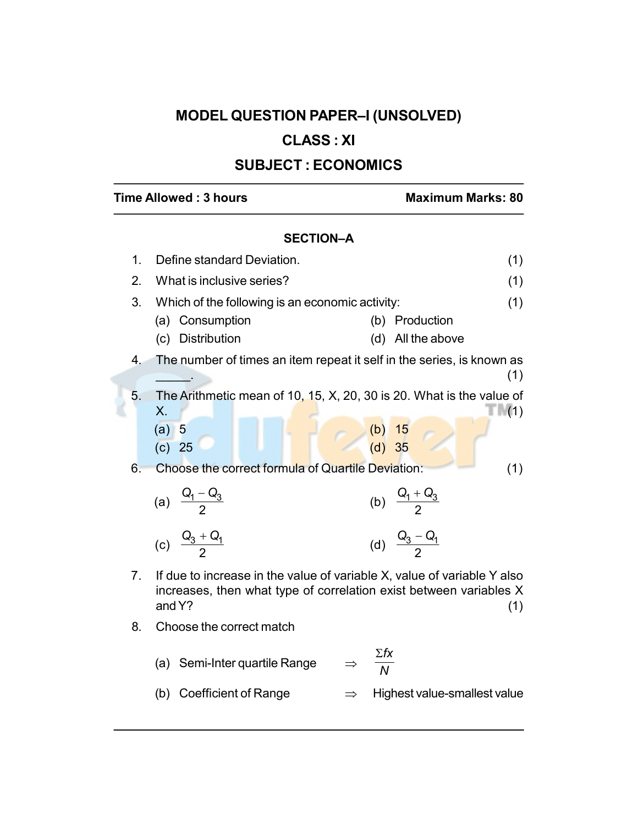# MODEL QUESTION PAPER–I (UNSOLVED)

## CLASS : XI

## SUBJECT : ECONOMICS

## Time Allowed : 3 hours Maximum Marks: 80

## SECTION–A

| 1. | Define standard Deviation.<br>(1)                 |                                                                                                                                                      |  |  |  |
|----|---------------------------------------------------|------------------------------------------------------------------------------------------------------------------------------------------------------|--|--|--|
| 2. | What is inclusive series?                         |                                                                                                                                                      |  |  |  |
| 3. | Which of the following is an economic activity:   | (1)                                                                                                                                                  |  |  |  |
|    | (a) Consumption                                   | (b) Production                                                                                                                                       |  |  |  |
|    | (c) Distribution                                  | (d) All the above                                                                                                                                    |  |  |  |
| 4. |                                                   | The number of times an item repeat it self in the series, is known as<br>(1)                                                                         |  |  |  |
| 5. | Х.                                                | The Arithmetic mean of 10, 15, X, 20, 30 is 20. What is the value of<br>(1)                                                                          |  |  |  |
|    | (a) 5                                             | (b) $15$<br>(d) $35$                                                                                                                                 |  |  |  |
|    | (c) 25                                            |                                                                                                                                                      |  |  |  |
| 6. | Choose the correct formula of Quartile Deviation: | (1)                                                                                                                                                  |  |  |  |
|    | (a) $\frac{Q_1 - Q_3}{2}$                         | (b) $\frac{Q_1 + Q_3}{2}$                                                                                                                            |  |  |  |
|    | (c) $\frac{Q_3 + Q_1}{2}$                         | (d) $\frac{Q_3 - Q_1}{2}$                                                                                                                            |  |  |  |
| 7. | and Y?                                            | If due to increase in the value of variable X, value of variable Y also<br>increases, then what type of correlation exist between variables X<br>(1) |  |  |  |
| 8. | Choose the correct match                          |                                                                                                                                                      |  |  |  |
|    |                                                   | $\Sigma$ fx                                                                                                                                          |  |  |  |

(b) Coefficient of Range  $\implies$  Highest value-smallest value

N

(a) Semi-Inter quartile Range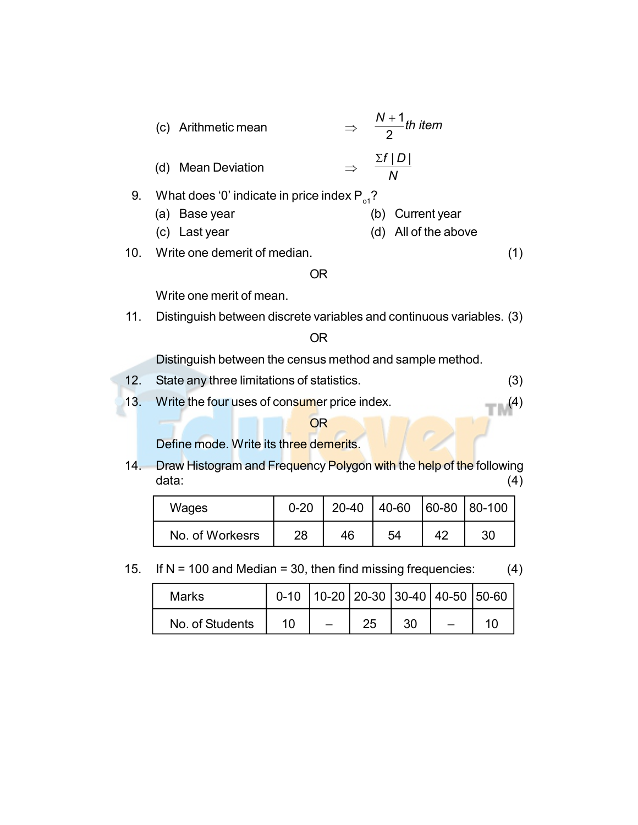|     | $\Rightarrow$ $\frac{N+1}{2}$ th item<br>(c) Arithmetic mean            |                      |
|-----|-------------------------------------------------------------------------|----------------------|
|     | $\frac{\sum f  D }{N}$<br><b>Mean Deviation</b><br>(d)<br>$\Rightarrow$ |                      |
| 9.  | What does '0' indicate in price index $P_{\alpha}$ ?                    |                      |
|     | (a) Base year                                                           | (b) Current year     |
|     | (c) Last year                                                           | (d) All of the above |
|     | 10. Write one demerit of median.                                        |                      |
|     | OR                                                                      |                      |
|     | Write one merit of mean.                                                |                      |
| 11. | Distinguish between discrete variables and continuous variables. (3)    |                      |
|     |                                                                         |                      |

OR

Distinguish between the census method and sample method.

- 12. State any three limitations of statistics. (3)
- 13. Write the four uses of consumer price index. (4)

### **OR**

Define mode. Write its three demerits.

14. Draw Histogram and Frequency Polygon with the help of the following data: (4)

| Wages           | $0 - 20$ |    | 20-40   40-60   60-80   80-100 |    |    |
|-----------------|----------|----|--------------------------------|----|----|
| No. of Workesrs | 28       | 46 | 54                             | 42 | 30 |

15. If  $N = 100$  and Median = 30, then find missing frequencies: (4)

| Marks           |    |  |    | $0-10$   10-20   20-30   30-40   40-50   50-60 |  |
|-----------------|----|--|----|------------------------------------------------|--|
| No. of Students | 10 |  | 30 |                                                |  |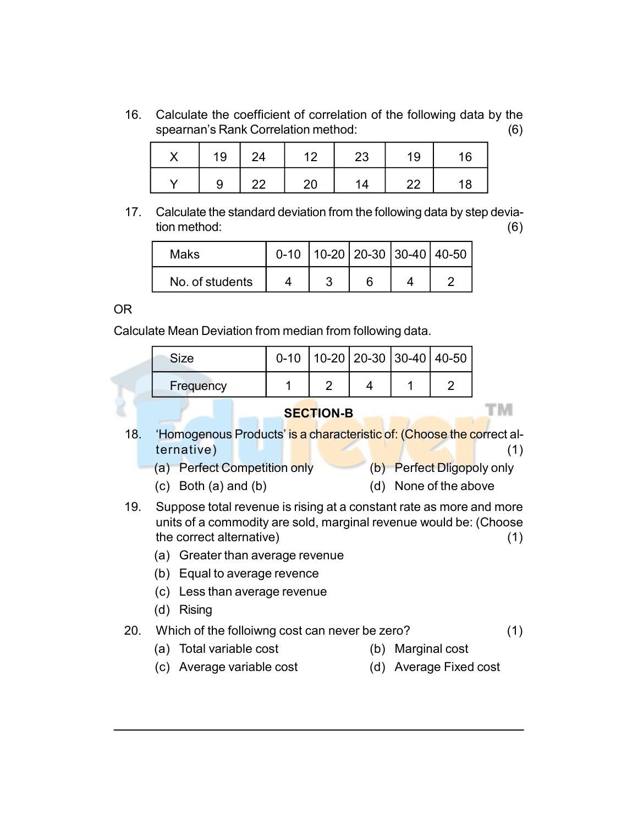16. Calculate the coefficient of correlation of the following data by the spearnan's Rank Correlation method: (6)

| X |   | $19$   24 | 12 | 23 | 19 | 16 |
|---|---|-----------|----|----|----|----|
|   | Q | 22        | 20 | 14 | 22 | 18 |

17. Calculate the standard deviation from the following data by step deviation method: (6)

| Maks            |  | 0-10   10-20   20-30   30-40   40-50 |  |
|-----------------|--|--------------------------------------|--|
| No. of students |  |                                      |  |

#### OR

Calculate Mean Deviation from median from following data.

| Size      |  |  | $0-10$   10-20   20-30   30-40   40-50 |
|-----------|--|--|----------------------------------------|
| Frequency |  |  |                                        |

## 18. 'Homogenous Products' is a characteristic of: (Choose the correct alternative) (1)

SECTION-B

- (a) Perfect Competition only (b) Perfect Dligopoly only
- (c) Both (a) and (b) (d) None of the above
- 19. Suppose total revenue is rising at a constant rate as more and more units of a commodity are sold, marginal revenue would be: (Choose the correct alternative) (1)
	- (a) Greater than average revenue
	- (b) Equal to average revence
	- (c) Less than average revenue
	- (d) Rising

#### 20. Which of the folloiwng cost can never be zero? (1)

- (a) Total variable cost (b) Marginal cost
	-

тм

(c) Average variable cost (d) Average Fixed cost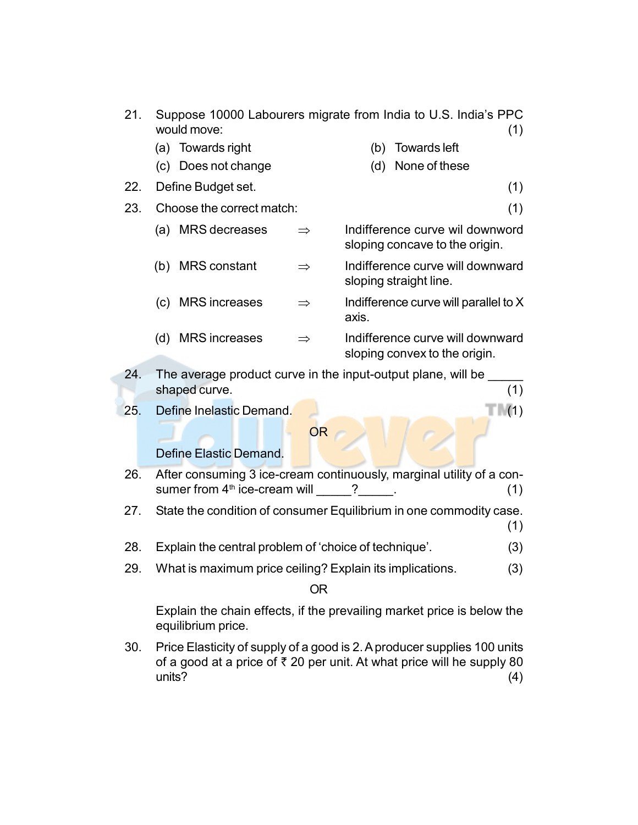- 21. Suppose 10000 Labourers migrate from India to U.S. India's PPC would move: (1)
	- (a) Towards right (b) Towards left
- 

sloping convex to the origin.

(c) Does not change (d) None of these

22. Define Budget set. (1)

- 
- 23. Choose the correct match: (1)

| (a) | <b>MRS</b> decreases | $\Rightarrow$ | Indifference curve wil downword<br>sloping concave to the origin. |
|-----|----------------------|---------------|-------------------------------------------------------------------|
| (b) | <b>MRS</b> constant  | $\Rightarrow$ | Indifference curve will downward<br>sloping straight line.        |
| (C) | <b>MRS</b> increases | $\Rightarrow$ | Indifference curve will parallel to X<br>axis.                    |
| (d) | <b>MRS</b> increases | $\Rightarrow$ | Indifference curve will downward                                  |

- 24. The average product curve in the input-output plane, will be shaped curve. (1) (1)
- 25. Define Inelastic Demand. (1) The T (1)

OR

#### Define Elastic Demand.

- 26. After consuming 3 ice-cream continuously, marginal utility of a consumer from  $4<sup>th</sup>$  ice-cream will  $\qquad$  ?  $\qquad$  .  $\qquad$  (1)
- 27. State the condition of consumer Equilibrium in one commodity case. (1)
- 28. Explain the central problem of 'choice of technique'. (3)
- 29. What is maximum price ceiling? Explain its implications. (3)

OR

Explain the chain effects, if the prevailing market price is below the equilibrium price.

30. Price Elasticity of supply of a good is 2. A producer supplies 100 units of a good at a price of  $\bar{\tau}$  20 per unit. At what price will he supply 80 units? (4)